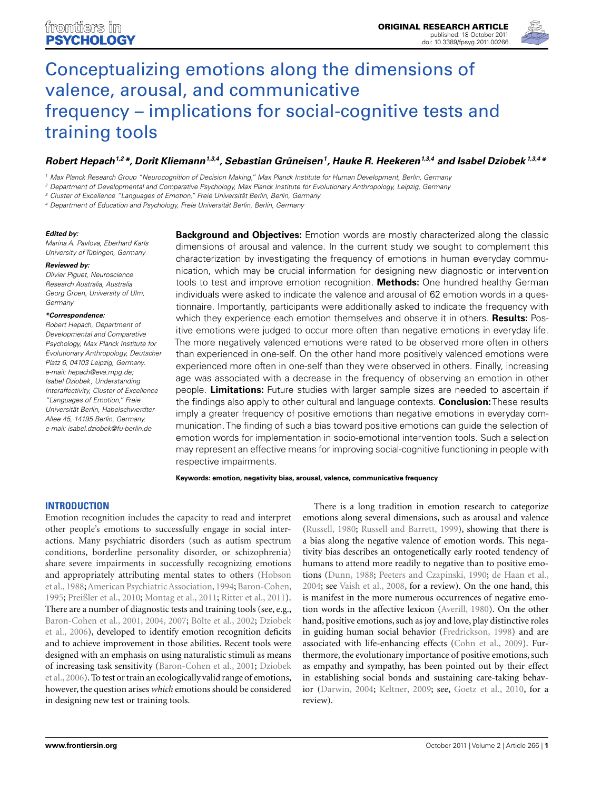

# Conceptualizing emotions along the dimensions of valence, arousal, and communicative [frequency – implications for social-cognitive tests and](http://www.frontiersin.org/Emotion_Science/10.3389/fpsyg.2011.00266/abstract) training tools

## *[Robert Hepach1](http://www.frontiersin.org/Community/WhosWhoDetails.aspx?UID=31510&d=1&sname=RobertHepach&name=Science),2\*, Dorit Kliemann1,3,4, Sebastian Grüneisen1, [Hauke R. Heekeren1](http://www.frontiersin.org/Community/WhosWhoDetails.aspx?UID=351&d=1&sname=HaukeHeekeren&name=Science),3,4 and [Isabel Dziobek](http://www.frontiersin.org/Community/WhosWhoDetails.aspx?UID=13840&d=0&sname=Isabel_Dziobek&name=all people) 1,3,4\**

<sup>1</sup> Max Planck Research Group "Neurocognition of Decision Making," Max Planck Institute for Human Development, Berlin, Germany

<sup>2</sup> Department of Developmental and Comparative Psychology, Max Planck Institute for Evolutionary Anthropology, Leipzig, Germany

<sup>3</sup> Cluster of Excellence "Languages of Emotion," Freie Universität Berlin, Berlin, Germany

<sup>4</sup> Department of Education and Psychology, Freie Universität Berlin, Berlin, Germany

#### *Edited by:*

Marina A. Pavlova, Eberhard Karls University of Tübingen, Germany

#### *Reviewed by:*

Olivier Piguet, Neuroscience Research Australia, Australia Georg Groen, University of Ulm, **Germany** 

#### *\*Correspondence:*

Robert Hepach, Department of Developmental and Comparative Psychology, Max Planck Institute for Evolutionary Anthropology, Deutscher Platz 6, 04103 Leipzig, Germany. e-mail: [hepach@eva.mpg.de;](mailto:hepach@eva.mpg.de) Isabel Dziobek, Understanding Interaffectivity, Cluster of Excellence "Languages of Emotion," Freie Universität Berlin, Habelschwerdter Allee 45, 14195 Berlin, Germany. e-mail: [isabel.dziobek@fu-berlin.de](mailto:isabel.dziobek@fu-berlin.de)

**Background and Objectives:** Emotion words are mostly characterized along the classic dimensions of arousal and valence. In the current study we sought to complement this characterization by investigating the frequency of emotions in human everyday communication, which may be crucial information for designing new diagnostic or intervention tools to test and improve emotion recognition. **Methods:** One hundred healthy German individuals were asked to indicate the valence and arousal of 62 emotion words in a questionnaire. Importantly, participants were additionally asked to indicate the frequency with which they experience each emotion themselves and observe it in others. **Results:** Positive emotions were judged to occur more often than negative emotions in everyday life. The more negatively valenced emotions were rated to be observed more often in others than experienced in one-self. On the other hand more positively valenced emotions were experienced more often in one-self than they were observed in others. Finally, increasing age was associated with a decrease in the frequency of observing an emotion in other people. **Limitations:** Future studies with larger sample sizes are needed to ascertain if the findings also apply to other cultural and language contexts. **Conclusion:**These results imply a greater frequency of positive emotions than negative emotions in everyday communication. The finding of such a bias toward positive emotions can guide the selection of emotion words for implementation in socio-emotional intervention tools. Such a selection may represent an effective means for improving social-cognitive functioning in people with respective impairments.

**Keywords: emotion, negativity bias, arousal, valence, communicative frequency**

#### **INTRODUCTION**

Emotion recognition includes the capacity to read and interpret other people's emotions to successfully engage in social interactions. Many psychiatric disorders (such as autism spectrum conditions, borderline personality disorder, or schizophrenia) share severe impairments in successfully recognizing emotions and [appropriately attributing mental states to others \(](#page-8-0)Hobson et al., [1988](#page-8-0);[American Psychiatric Association, 1994](#page-8-0); [Baron-Cohen,](#page-8-0) [1995;](#page-8-0) [Preißler et al.](#page-8-0), [2010;](#page-8-0) [Montag et al., 2011](#page-8-0); [Ritter et al., 2011](#page-8-0)). There are a number of diagnostic tests and training tools (see, e.g., [Baron-Cohen et al., 2001, 2004, 2007;](#page-8-0) [Bölte et al.](#page-8-0), [2002](#page-8-0); Dziobek et al., [2006](#page-8-0)), developed to identify emotion recognition deficits and to achieve improvement in those abilities. Recent tools were designed with an emphasis on using naturalistic stimuli as means of i[ncreasing task sensitivity \(Baron-Cohen et al., 2001;](#page-8-0) Dziobek et al., [2006](#page-8-0)). To test or train an ecologically valid range of emotions, however, the question arises *which* emotions should be considered in designing new test or training tools.

There is a long tradition in emotion research to categorize emotions along several dimensions, such as arousal and valence [\(Russell](#page-8-0), [1980;](#page-8-0) [Russell and Barrett, 1999](#page-8-0)), showing that there is a bias along the negative valence of emotion words. This negativity bias describes an ontogenetically early rooted tendency of humans to attend more readily to negative than to positive emotions [\(Dunn](#page-8-0), [1988;](#page-8-0) [Peeters and Czapinski](#page-8-0), [1990;](#page-8-0) [de Haan et al.,](#page-8-0) [2004;](#page-8-0) see [Vaish et al.](#page-8-0), [2008,](#page-8-0) for a review). On the one hand, this is manifest in the more numerous occurrences of negative emotion words in the affective lexicon [\(Averill, 1980](#page-8-0)). On the other hand, positive emotions, such as joy and love, play distinctive roles in guiding human social behavior [\(Fredrickson](#page-8-0), [1998](#page-8-0)) and are associated with life-enhancing effects [\(Cohn et al., 2009\)](#page-8-0). Furthermore, the evolutionary importance of positive emotions, such as empathy and sympathy, has been pointed out by their effect in establishing social bonds and sustaining care-taking behavior [\(Darwin](#page-8-0), [2004](#page-8-0); [Keltner](#page-8-0), [2009](#page-8-0); see, [Goetz et al., 2010,](#page-8-0) for a review).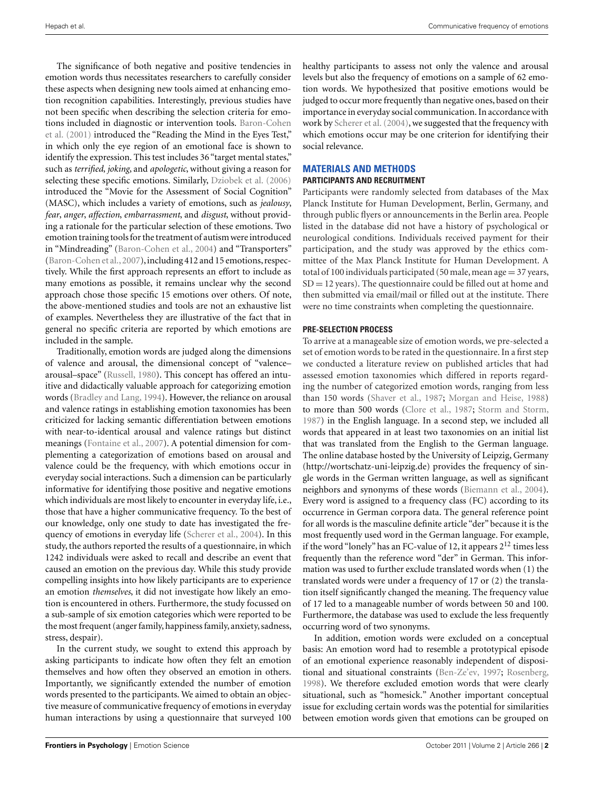The significance of both negative and positive tendencies in emotion words thus necessitates researchers to carefully consider these aspects when designing new tools aimed at enhancing emotion recognition capabilities. Interestingly, previous studies have not been specific when describing the selection criteria for emotion[s](#page-8-0) [included](#page-8-0) [in](#page-8-0) [diagnostic](#page-8-0) [or](#page-8-0) [intervention](#page-8-0) [tools.](#page-8-0) Baron-Cohen et al. [\(2001](#page-8-0)) introduced the "Reading the Mind in the Eyes Test," in which only the eye region of an emotional face is shown to identify the expression. This test includes 36 "target mental states," such as *terrified*, *joking*, and *apologetic*, without giving a reason for selecting these specific emotions. Similarly, [Dziobek et al.](#page-8-0) [\(2006](#page-8-0)) introduced the "Movie for the Assessment of Social Cognition" (MASC), which includes a variety of emotions, such as *jealousy*, *fear*, *anger*, *affection*, *embarrassment*, and *disgust*, without providing a rationale for the particular selection of these emotions. Two emotion training tools for the treatment of autism were introduced in "Mindreading" [\(Baron-Cohen et al., 2004\)](#page-8-0) and "Transporters" [\(Baron-Cohen et al.,2007\)](#page-8-0),including 412 and 15 emotions, respectively. While the first approach represents an effort to include as many emotions as possible, it remains unclear why the second approach chose those specific 15 emotions over others. Of note, the above-mentioned studies and tools are not an exhaustive list of examples. Nevertheless they are illustrative of the fact that in general no specific criteria are reported by which emotions are included in the sample.

Traditionally, emotion words are judged along the dimensions of valence and arousal, the dimensional concept of "valence– arousal–space" [\(Russell, 1980](#page-8-0)). This concept has offered an intuitive and didactically valuable approach for categorizing emotion words [\(Bradley and Lang, 1994\)](#page-8-0). However, the reliance on arousal and valence ratings in establishing emotion taxonomies has been criticized for lacking semantic differentiation between emotions with near-to-identical arousal and valence ratings but distinct meanings [\(Fontaine et al.](#page-8-0), [2007\)](#page-8-0). A potential dimension for complementing a categorization of emotions based on arousal and valence could be the frequency, with which emotions occur in everyday social interactions. Such a dimension can be particularly informative for identifying those positive and negative emotions which individuals are most likely to encounter in everyday life, i.e., those that have a higher communicative frequency. To the best of our knowledge, only one study to date has investigated the frequency of emotions in everyday life [\(Scherer et al.](#page-8-0), [2004\)](#page-8-0). In this study, the authors reported the results of a questionnaire, in which 1242 individuals were asked to recall and describe an event that caused an emotion on the previous day. While this study provide compelling insights into how likely participants are to experience an emotion *themselves*, it did not investigate how likely an emotion is encountered in others. Furthermore, the study focussed on a sub-sample of six emotion categories which were reported to be the most frequent (anger family, happiness family, anxiety, sadness, stress, despair).

In the current study, we sought to extend this approach by asking participants to indicate how often they felt an emotion themselves and how often they observed an emotion in others. Importantly, we significantly extended the number of emotion words presented to the participants. We aimed to obtain an objective measure of communicative frequency of emotions in everyday human interactions by using a questionnaire that surveyed 100 healthy participants to assess not only the valence and arousal levels but also the frequency of emotions on a sample of 62 emotion words. We hypothesized that positive emotions would be judged to occur more frequently than negative ones, based on their importance in everyday social communication. In accordance with work by [Scherer et al.](#page-8-0) [\(2004\)](#page-8-0), we suggested that the frequency with which emotions occur may be one criterion for identifying their social relevance.

#### **MATERIALS AND METHODS PARTICIPANTS AND RECRUITMENT**

Participants were randomly selected from databases of the Max Planck Institute for Human Development, Berlin, Germany, and through public flyers or announcements in the Berlin area. People listed in the database did not have a history of psychological or neurological conditions. Individuals received payment for their participation, and the study was approved by the ethics committee of the Max Planck Institute for Human Development. A total of 100 individuals participated (50 male, mean age  $=$  37 years,  $SD = 12$  years). The questionnaire could be filled out at home and then submitted via email/mail or filled out at the institute. There were no time constraints when completing the questionnaire.

## **PRE-SELECTION PROCESS**

To arrive at a manageable size of emotion words, we pre-selected a set of emotion words to be rated in the questionnaire. In a first step we conducted a literature review on published articles that had assessed emotion taxonomies which differed in reports regarding the number of categorized emotion words, ranging from less than 150 words [\(Shaver et al., 1987;](#page-8-0) [Morgan and Heise, 1988](#page-8-0)) to more than 500 words [\(Clore et al., 1987;](#page-8-0) [Storm and Storm,](#page-8-0) [1987\)](#page-8-0) in the English language. In a second step, we included all words that appeared in at least two taxonomies on an initial list that was translated from the English to the German language. The online database hosted by the University of Leipzig, Germany [\(http://wortschatz-uni-leipzig.de\)](http://wortschatz-uni-leipzig.de) provides the frequency of single words in the German written language, as well as significant neighbors and synonyms of these words [\(Biemann et al., 2004](#page-8-0)). Every word is assigned to a frequency class (FC) according to its occurrence in German corpora data. The general reference point for all words is the masculine definite article "der" because it is the most frequently used word in the German language. For example, if the word "lonely" has an FC-value of 12, it appears  $2^{12}$  times less frequently than the reference word "der" in German. This information was used to further exclude translated words when (1) the translated words were under a frequency of 17 or (2) the translation itself significantly changed the meaning. The frequency value of 17 led to a manageable number of words between 50 and 100. Furthermore, the database was used to exclude the less frequently occurring word of two synonyms.

In addition, emotion words were excluded on a conceptual basis: An emotion word had to resemble a prototypical episode of an emotional experience reasonably independent of dispositional and situational constraints [\(Ben-Ze'ev](#page-8-0), [1997](#page-8-0); [Rosenberg,](#page-8-0) [1998\)](#page-8-0). We therefore excluded emotion words that were clearly situational, such as "homesick." Another important conceptual issue for excluding certain words was the potential for similarities between emotion words given that emotions can be grouped on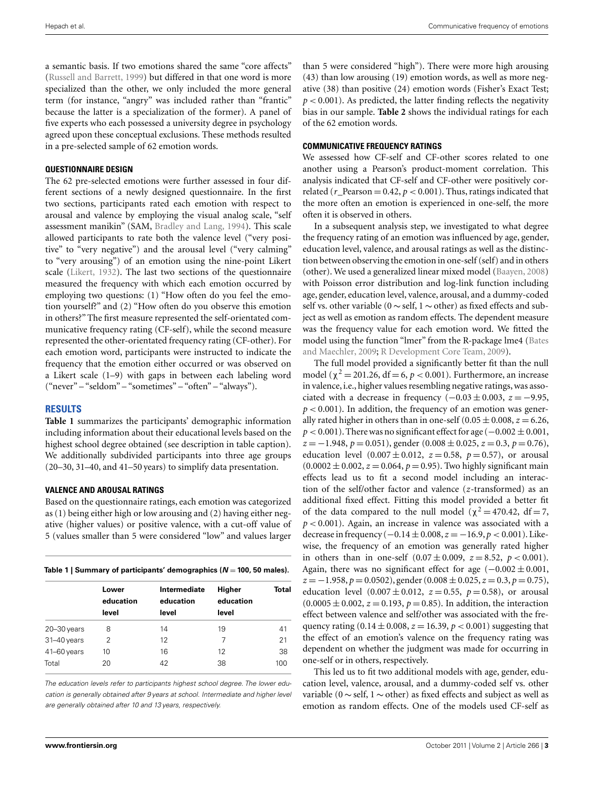a semantic basis. If two emotions shared the same "core affects" [\(Russell and Barrett](#page-8-0), [1999\)](#page-8-0) but differed in that one word is more specialized than the other, we only included the more general term (for instance, "angry" was included rather than "frantic" because the latter is a specialization of the former). A panel of five experts who each possessed a university degree in psychology agreed upon these conceptual exclusions. These methods resulted in a pre-selected sample of 62 emotion words.

#### **QUESTIONNAIRE DESIGN**

The 62 pre-selected emotions were further assessed in four different sections of a newly designed questionnaire. In the first two sections, participants rated each emotion with respect to arousal and valence by employing the visual analog scale, "self assessment manikin" (SAM, [Bradley and Lang, 1994\)](#page-8-0). This scale allowed participants to rate both the valence level ("very positive" to "very negative") and the arousal level ("very calming" to "very arousing") of an emotion using the nine-point Likert scale [\(Likert, 1932\)](#page-8-0). The last two sections of the questionnaire measured the frequency with which each emotion occurred by employing two questions: (1) "How often do you feel the emotion yourself?" and (2) "How often do you observe this emotion in others?" The first measure represented the self-orientated communicative frequency rating (CF-self), while the second measure represented the other-orientated frequency rating (CF-other). For each emotion word, participants were instructed to indicate the frequency that the emotion either occurred or was observed on a Likert scale (1–9) with gaps in between each labeling word ("never" – "seldom" – "sometimes" – "often" – "always").

#### **RESULTS**

**Table 1** summarizes the participants' demographic information including information about their educational levels based on the highest school degree obtained (see description in table caption). We additionally subdivided participants into three age groups (20–30, 31–40, and 41–50 years) to simplify data presentation.

#### **VALENCE AND AROUSAL RATINGS**

Based on the questionnaire ratings, each emotion was categorized as (1) being either high or low arousing and (2) having either negative (higher values) or positive valence, with a cut-off value of 5 (values smaller than 5 were considered "low" and values larger

|  | Table 1   Summary of participants' demographics ( $N = 100$ , 50 males). |
|--|--------------------------------------------------------------------------|
|--|--------------------------------------------------------------------------|

|                 | Lower<br>education<br>level | Intermediate<br>education<br>level | Higher<br>education<br>level | Total |
|-----------------|-----------------------------|------------------------------------|------------------------------|-------|
| $20 - 30$ years | 8                           | 14                                 | 19                           | 41    |
| 31-40 years     | 2                           | 12                                 | 7                            | 21    |
| 41-60 years     | 10                          | 16                                 | 12                           | 38    |
| Total           | 20                          | 42                                 | 38                           | 100   |

The education levels refer to participants highest school degree. The lower education is generally obtained after 9 years at school. Intermediate and higher level are generally obtained after 10 and 13 years, respectively.

than 5 were considered "high"). There were more high arousing (43) than low arousing (19) emotion words, as well as more negative (38) than positive (24) emotion words (Fisher's Exact Test;  $p < 0.001$ ). As predicted, the latter finding reflects the negativity bias in our sample. **[Table 2](#page-3-0)** shows the individual ratings for each of the 62 emotion words.

## **COMMUNICATIVE FREQUENCY RATINGS**

We assessed how CF-self and CF-other scores related to one another using a Pearson's product-moment correlation. This analysis indicated that CF-self and CF-other were positively correlated ( $r$  Pearson = 0.42,  $p < 0.001$ ). Thus, ratings indicated that the more often an emotion is experienced in one-self, the more often it is observed in others.

In a subsequent analysis step, we investigated to what degree the frequency rating of an emotion was influenced by age, gender, education level, valence, and arousal ratings as well as the distinction between observing the emotion in one-self (self) and in others (other). We used a generalized linear mixed model [\(Baayen](#page-8-0), [2008](#page-8-0)) with Poisson error distribution and log-link function including age, gender, education level, valence, arousal, and a dummy-coded self vs. other variable (0 <sup>∼</sup> self, 1 <sup>∼</sup> other) as fixed effects and subject as well as emotion as random effects. The dependent measure was the frequency value for each emotion word. We fitted the model using [the function "lmer" from the R-package lme4 \(](#page-8-0)Bates and Maechler, [2009](#page-8-0); [R Development Core Team](#page-8-0), [2009](#page-8-0)).

The full model provided a significantly better fit than the null model ( $\chi^2$  = 201.26, df = 6, *p* < 0.001). Furthermore, an increase in valence, i.e., higher values resembling negative ratings, was associated with a decrease in frequency  $(-0.03 \pm 0.003, z = -9.95,$  $p < 0.001$ ). In addition, the frequency of an emotion was generally rated higher in others than in one-self  $(0.05 \pm 0.008, z = 6.26, z = 0.008)$  $p < 0.001$ ). There was no significant effect for age ( $-0.002 \pm 0.001$ , *z* = −1.948, *p* = 0.051), gender (0.008 ± 0.025, *z* = 0.3, *p* = 0.76), education level  $(0.007 \pm 0.012, z = 0.58, p = 0.57)$ , or arousal  $(0.0002 \pm 0.002, z = 0.064, p = 0.95)$ . Two highly significant main effects lead us to fit a second model including an interaction of the self/other factor and valence (*z*-transformed) as an additional fixed effect. Fitting this model provided a better fit of the data compared to the null model ( $\chi^2 = 470.42$ , df = 7,  $p < 0.001$ ). Again, an increase in valence was associated with a decrease in frequency (−0.14 ± 0.008,*z* = −16.9,*p* < 0.001). Likewise, the frequency of an emotion was generally rated higher in others than in one-self  $(0.07 \pm 0.009, z = 8.52, p < 0.001)$ . Again, there was no significant effect for age  $(-0.002 \pm 0.001,$ *z* = −1.958, *p* = 0.0502), gender (0.008 ± 0.025,*z* = 0.3, *p* = 0.75), education level  $(0.007 \pm 0.012, z = 0.55, p = 0.58)$ , or arousal  $(0.0005 \pm 0.002, z = 0.193, p = 0.85)$ . In addition, the interaction effect between valence and self/other was associated with the frequency rating  $(0.14 \pm 0.008, z = 16.39, p < 0.001)$  suggesting that the effect of an emotion's valence on the frequency rating was dependent on whether the judgment was made for occurring in one-self or in others, respectively.

This led us to fit two additional models with age, gender, education level, valence, arousal, and a dummy-coded self vs. other variable (0 <sup>∼</sup> self, 1 <sup>∼</sup> other) as fixed effects and subject as well as emotion as random effects. One of the models used CF-self as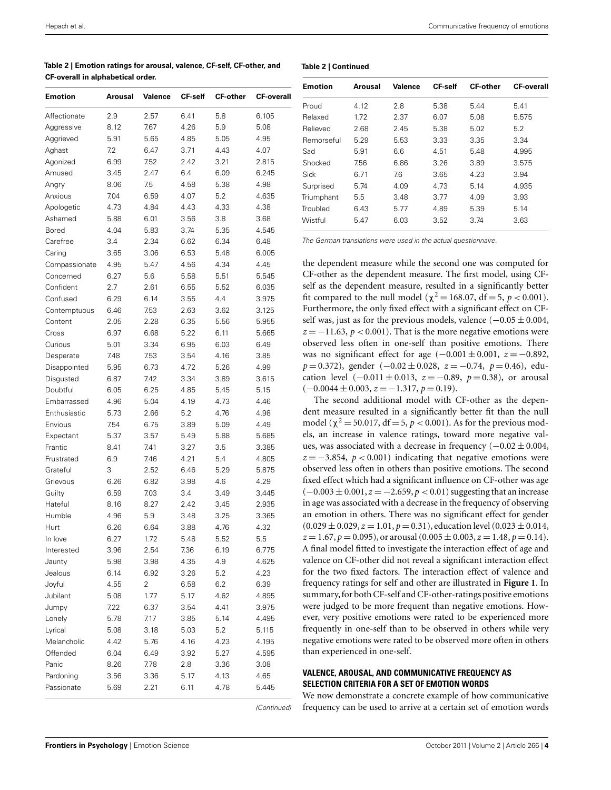<span id="page-3-0"></span>

| Table 2   Emotion ratings for arousal, valence, CF-self, CF-other, and |  |
|------------------------------------------------------------------------|--|
| CF-overall in alphabetical order.                                      |  |

| Emotion       | Arousal | Valence | <b>CF-self</b> | <b>CF-other</b> | <b>CF-overall</b> |
|---------------|---------|---------|----------------|-----------------|-------------------|
| Affectionate  | 2.9     | 2.57    | 6.41           | 5.8             | 6.105             |
| Aggressive    | 8.12    | 7.67    | 4.26           | 5.9             | 5.08              |
| Aggrieved     | 5.91    | 5.65    | 4.85           | 5.05            | 4.95              |
| Aghast        | 7.2     | 6.47    | 3.71           | 4.43            | 4.07              |
| Agonized      | 6.99    | 7.52    | 2.42           | 3.21            | 2.815             |
| Amused        | 3.45    | 2.47    | 6.4            | 6.09            | 6.245             |
| Angry         | 8.06    | 7.5     | 4.58           | 5.38            | 4.98              |
| Anxious       | 7.04    | 6.59    | 4.07           | 5.2             | 4.635             |
| Apologetic    | 4.73    | 4.84    | 4.43           | 4.33            | 4.38              |
| Ashamed       | 5.88    | 6.01    | 3.56           | 3.8             | 3.68              |
| Bored         | 4.04    | 5.83    | 3.74           | 5.35            | 4.545             |
| Carefree      | 3.4     | 2.34    | 6.62           | 6.34            | 6.48              |
| Caring        | 3.65    | 3.06    | 6.53           | 5.48            | 6.005             |
| Compassionate | 4.95    | 5.47    | 4.56           | 4.34            | 4.45              |
| Concerned     | 6.27    | 5.6     | 5.58           | 5.51            | 5.545             |
| Confident     | 2.7     | 2.61    | 6.55           | 5.52            | 6.035             |
| Confused      | 6.29    | 6.14    | 3.55           | 4.4             | 3.975             |
| Contemptuous  | 6.46    | 7.53    | 2.63           | 3.62            | 3.125             |
| Content       | 2.05    | 2.28    | 6.35           | 5.56            | 5.955             |
|               | 6.97    | 6.68    | 5.22           | 6.11            | 5.665             |
| Cross         |         |         |                |                 |                   |
| Curious       | 5.01    | 3.34    | 6.95           | 6.03            | 6.49              |
| Desperate     | 7.48    | 7.53    | 3.54           | 4.16            | 3.85              |
| Disappointed  | 5.95    | 6.73    | 4.72           | 5.26            | 4.99              |
| Disgusted     | 6.87    | 7.42    | 3.34           | 3.89            | 3.615             |
| Doubtful      | 6.05    | 6.25    | 4.85           | 5.45            | 5.15              |
| Embarrassed   | 4.96    | 5.04    | 4.19           | 4.73            | 4.46              |
| Enthusiastic  | 5.73    | 2.66    | 5.2            | 4.76            | 4.98              |
| Envious       | 7.54    | 6.75    | 3.89           | 5.09            | 4.49              |
| Expectant     | 5.37    | 3.57    | 5.49           | 5.88            | 5.685             |
| Frantic       | 8.41    | 7.41    | 3.27           | 3.5             | 3.385             |
| Frustrated    | 6.9     | 7.46    | 4.21           | 5.4             | 4.805             |
| Grateful      | 3       | 2.52    | 6.46           | 5.29            | 5.875             |
| Grievous      | 6.26    | 6.82    | 3.98           | 4.6             | 4.29              |
| Guilty        | 6.59    | 7.03    | 3.4            | 3.49            | 3.445             |
| Hateful       | 8.16    | 8.27    | 2.42           | 3.45            | 2.935             |
| Humble        | 4.96    | 5.9     | 3.48           | 3.25            | 3.365             |
| Hurt          | 6.26    | 6.64    | 3.88           | 4.76            | 4.32              |
| In love       | 6.27    | 1.72    | 5.48           | 5.52            | 5.5               |
| Interested    | 3.96    | 2.54    | 7.36           | 6.19            | 6.775             |
| Jaunty        | 5.98    | 3.98    | 4.35           | 4.9             | 4.625             |
| Jealous       | 6.14    | 6.92    | 3.26           | 5.2             | 4.23              |
| Joyful        | 4.55    | 2       | 6.58           | 6.2             | 6.39              |
| Jubilant      | 5.08    | 1.77    | 5.17           | 4.62            | 4.895             |
| Jumpy         | 7.22    | 6.37    | 3.54           | 4.41            | 3.975             |
| Lonely        | 5.78    | 7.17    | 3.85           | 5.14            | 4.495             |
| Lyrical       | 5.08    | 3.18    | 5.03           | 5.2             | 5.115             |
| Melancholic   | 4.42    | 5.76    | 4.16           | 4.23            | 4.195             |
| Offended      | 6.04    | 6.49    | 3.92           | 5.27            | 4.595             |
| Panic         | 8.26    | 7.78    | 2.8            | 3.36            | 3.08              |
| Pardoning     | 3.56    | 3.36    | 5.17           | 4.13            | 4.65              |
| Passionate    | 5.69    | 2.21    | 6.11           | 4.78            | 5.445             |
|               |         |         |                |                 |                   |

| <b>Emotion</b> | Arousal | <b>Valence</b> | <b>CF-self</b> | <b>CF-other</b> | <b>CF-overall</b> |
|----------------|---------|----------------|----------------|-----------------|-------------------|
| Proud          | 4.12    | 2.8            | 5.38           | 5.44            | 5.41              |
| Relaxed        | 1.72    | 2.37           | 6.07           | 5.08            | 5.575             |
| Relieved       | 2.68    | 2.45           | 5.38           | 5.02            | 5.2               |
| Remorseful     | 5.29    | 5.53           | 3.33           | 3.35            | 3.34              |
| Sad            | 5.91    | 6.6            | 4.51           | 5.48            | 4.995             |
| Shocked        | 7.56    | 6.86           | 3.26           | 3.89            | 3.575             |
| Sick           | 6.71    | 7.6            | 3.65           | 4.23            | 3.94              |
| Surprised      | 5.74    | 4.09           | 4.73           | 5.14            | 4.935             |
| Triumphant     | 5.5     | 3.48           | 3.77           | 4.09            | 3.93              |
| Troubled       | 6.43    | 5.77           | 4.89           | 5.39            | 5.14              |
| Wistful        | 5.47    | 6.03           | 3.52           | 3.74            | 3.63              |

The German translations were used in the actual questionnaire.

the dependent measure while the second one was computed for CF-other as the dependent measure. The first model, using CFself as the dependent measure, resulted in a significantly better fit compared to the null model ( $\chi^2 = 168.07$ , df = 5, *p* < 0.001). Furthermore, the only fixed effect with a significant effect on CFself was, just as for the previous models, valence  $(-0.05 \pm 0.004,$  $z = -11.63$ ,  $p < 0.001$ ). That is the more negative emotions were observed less often in one-self than positive emotions. There was no significant effect for age  $(-0.001 \pm 0.001, z = -0.892,$ *p* = 0.372), gender (−0.02 ± 0.028, *z* = −0.74, *p* = 0.46), education level  $(-0.011 \pm 0.013, z = -0.89, p = 0.38)$ , or arousal  $(-0.0044 \pm 0.003, z = -1.317, p = 0.19).$ 

The second additional model with CF-other as the dependent measure resulted in a significantly better fit than the null model ( $χ² = 50.017$ , df = 5, *p* < 0.001). As for the previous models, an increase in valence ratings, toward more negative values, was associated with a decrease in frequency  $(-0.02 \pm 0.004,$  $z = -3.854$ ,  $p < 0.001$ ) indicating that negative emotions were observed less often in others than positive emotions. The second fixed effect which had a significant influence on CF-other was age (−0.003 ± 0.001,*z* = −2.659,*p* < 0.01) suggesting that an increase in age was associated with a decrease in the frequency of observing an emotion in others. There was no significant effect for gender  $(0.029 \pm 0.029, z = 1.01, p = 0.31)$ , education level  $(0.023 \pm 0.014, z = 0.014, z = 0.014)$  $z = 1.67$ ,  $p = 0.095$ ), or arousal  $(0.005 \pm 0.003, z = 1.48, p = 0.14)$ . A final model fitted to investigate the interaction effect of age and valence on CF-other did not reveal a significant interaction effect for the two fixed factors. The interaction effect of valence and frequency ratings for self and other are illustrated in **[Figure 1](#page-4-0)**. In summary,for both CF-self and CF-other-ratings positive emotions were judged to be more frequent than negative emotions. However, very positive emotions were rated to be experienced more frequently in one-self than to be observed in others while very negative emotions were rated to be observed more often in others than experienced in one-self.

## **VALENCE, AROUSAL, AND COMMUNICATIVE FREQUENCY AS SELECTION CRITERIA FOR A SET OF EMOTION WORDS**

(Continued)

We now demonstrate a concrete example of how communicative frequency can be used to arrive at a certain set of emotion words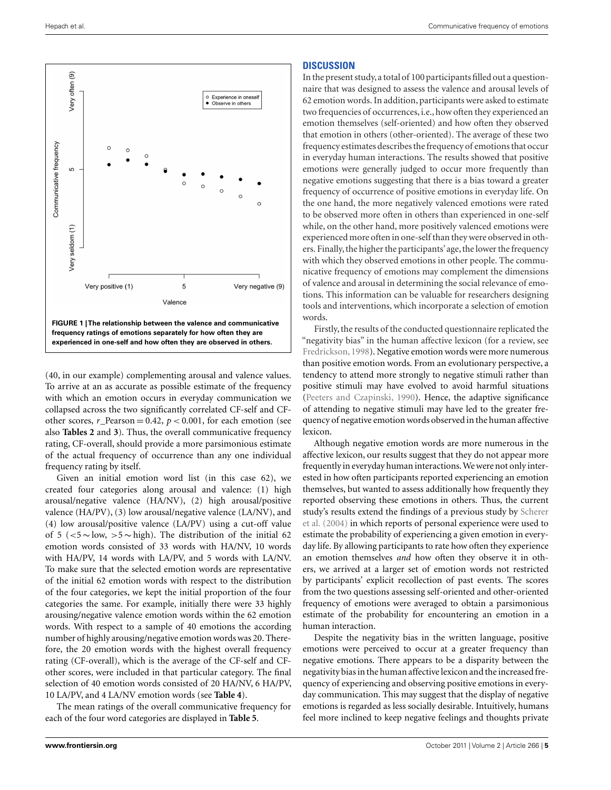<span id="page-4-0"></span>

(40, in our example) complementing arousal and valence values. To arrive at an as accurate as possible estimate of the frequency with which an emotion occurs in everyday communication we collapsed across the two significantly correlated CF-self and CFother scores,  $r$ <sup>D</sup>earson = 0.42,  $p$  < 0.001, for each emotion (see also **[Tables 2](#page-3-0)** and **[3](#page-5-0)**). Thus, the overall communicative frequency rating, CF-overall, should provide a more parsimonious estimate of the actual frequency of occurrence than any one individual frequency rating by itself.

Given an initial emotion word list (in this case 62), we created four categories along arousal and valence: (1) high arousal/negative valence (HA/NV), (2) high arousal/positive valence (HA/PV), (3) low arousal/negative valence (LA/NV), and (4) low arousal/positive valence (LA/PV) using a cut-off value of 5 ( $\lt$ 5 ∼ low,  $>5$  ∼ high). The distribution of the initial 62 emotion words consisted of 33 words with HA/NV, 10 words with HA/PV, 14 words with LA/PV, and 5 words with LA/NV. To make sure that the selected emotion words are representative of the initial 62 emotion words with respect to the distribution of the four categories, we kept the initial proportion of the four categories the same. For example, initially there were 33 highly arousing/negative valence emotion words within the 62 emotion words. With respect to a sample of 40 emotions the according number of highly arousing/negative emotion words was 20. Therefore, the 20 emotion words with the highest overall frequency rating (CF-overall), which is the average of the CF-self and CFother scores, were included in that particular category. The final selection of 40 emotion words consisted of 20 HA/NV, 6 HA/PV, 10 LA/PV, and 4 LA/NV emotion words (see **[Table 4](#page-6-0)**).

The mean ratings of the overall communicative frequency for each of the four word categories are displayed in **[Table 5](#page-6-0)**.

#### **DISCUSSION**

In the present study, a total of 100 participants filled out a questionnaire that was designed to assess the valence and arousal levels of 62 emotion words. In addition, participants were asked to estimate two frequencies of occurrences, i.e., how often they experienced an emotion themselves (self-oriented) and how often they observed that emotion in others (other-oriented). The average of these two frequency estimates describes the frequency of emotions that occur in everyday human interactions. The results showed that positive emotions were generally judged to occur more frequently than negative emotions suggesting that there is a bias toward a greater frequency of occurrence of positive emotions in everyday life. On the one hand, the more negatively valenced emotions were rated to be observed more often in others than experienced in one-self while, on the other hand, more positively valenced emotions were experienced more often in one-self than they were observed in others. Finally, the higher the participants'age, the lower the frequency with which they observed emotions in other people. The communicative frequency of emotions may complement the dimensions of valence and arousal in determining the social relevance of emotions. This information can be valuable for researchers designing tools and interventions, which incorporate a selection of emotion words.

Firstly, the results of the conducted questionnaire replicated the "negativity bias" in the human affective lexicon (for a review, see [Fredrickson](#page-8-0), [1998](#page-8-0)). Negative emotion words were more numerous than positive emotion words. From an evolutionary perspective, a tendency to attend more strongly to negative stimuli rather than positive stimuli may have evolved to avoid harmful situations [\(Peeters and Czapinski](#page-8-0), [1990\)](#page-8-0). Hence, the adaptive significance of attending to negative stimuli may have led to the greater frequency of negative emotion words observed in the human affective lexicon.

Although negative emotion words are more numerous in the affective lexicon, our results suggest that they do not appear more frequently in everyday human interactions.We were not only interested in how often participants reported experiencing an emotion themselves, but wanted to assess additionally how frequently they reported observing these emotions in others. Thus, the current stud[y's results extend the findings of a previous study by](#page-8-0) Scherer et al. [\(2004](#page-8-0)) in which reports of personal experience were used to estimate the probability of experiencing a given emotion in everyday life. By allowing participants to rate how often they experience an emotion themselves *and* how often they observe it in others, we arrived at a larger set of emotion words not restricted by participants' explicit recollection of past events. The scores from the two questions assessing self-oriented and other-oriented frequency of emotions were averaged to obtain a parsimonious estimate of the probability for encountering an emotion in a human interaction.

Despite the negativity bias in the written language, positive emotions were perceived to occur at a greater frequency than negative emotions. There appears to be a disparity between the negativity bias in the human affective lexicon and the increased frequency of experiencing and observing positive emotions in everyday communication. This may suggest that the display of negative emotions is regarded as less socially desirable. Intuitively, humans feel more inclined to keep negative feelings and thoughts private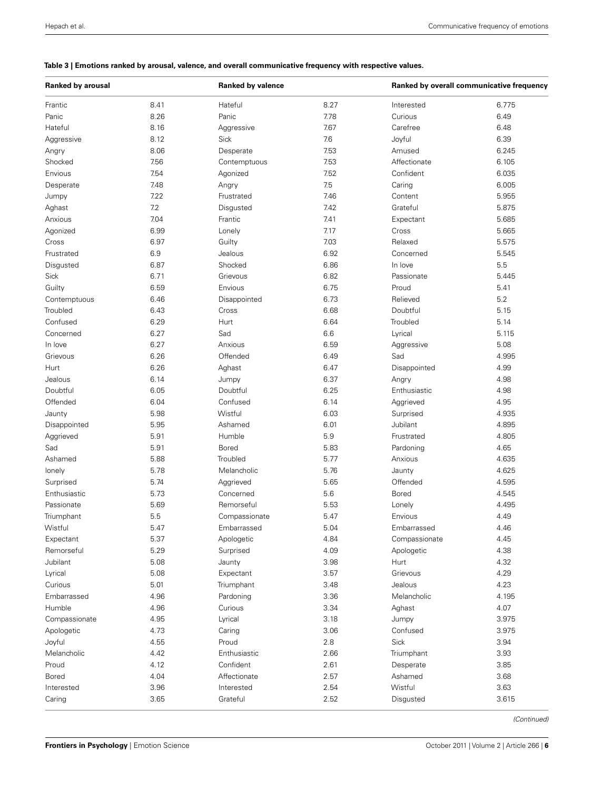## <span id="page-5-0"></span>**Table 3 | Emotions ranked by arousal, valence, and overall communicative frequency with respective values.**

| <b>Ranked by arousal</b> |      | <b>Ranked by valence</b> |      |               | Ranked by overall communicative frequency |  |
|--------------------------|------|--------------------------|------|---------------|-------------------------------------------|--|
| Frantic                  | 8.41 | Hateful                  | 8.27 | Interested    | 6.775                                     |  |
| Panic                    | 8.26 | Panic                    | 7.78 | Curious       | 6.49                                      |  |
| Hateful                  | 8.16 | Aggressive               | 7.67 | Carefree      | 6.48                                      |  |
| Aggressive               | 8.12 | <b>Sick</b>              | 7.6  | Joyful        | 6.39                                      |  |
| Angry                    | 8.06 | Desperate                | 7.53 | Amused        | 6.245                                     |  |
| Shocked                  | 7.56 | Contemptuous             | 7.53 | Affectionate  | 6.105                                     |  |
| Envious                  | 7.54 | Agonized                 | 7.52 | Confident     | 6.035                                     |  |
| Desperate                | 7.48 | Angry                    | 7.5  | Caring        | 6.005                                     |  |
| Jumpy                    | 7.22 | Frustrated               | 7.46 | Content       | 5.955                                     |  |
| Aghast                   | 7.2  | Disgusted                | 7.42 | Grateful      | 5.875                                     |  |
| Anxious                  | 7.04 | Frantic                  | 7.41 | Expectant     | 5.685                                     |  |
| Agonized                 | 6.99 | Lonely                   | 7.17 | Cross         | 5.665                                     |  |
| Cross                    | 6.97 | Guilty                   | 7.03 | Relaxed       | 5.575                                     |  |
| Frustrated               | 6.9  | Jealous                  | 6.92 | Concerned     | 5.545                                     |  |
| Disgusted                | 6.87 | Shocked                  | 6.86 | In love       | 5.5                                       |  |
| Sick                     | 6.71 | Grievous                 | 6.82 | Passionate    | 5.445                                     |  |
| Guilty                   | 6.59 | Envious                  | 6.75 | Proud         | 5.41                                      |  |
| Contemptuous             | 6.46 | Disappointed             | 6.73 | Relieved      | 5.2                                       |  |
| Troubled                 | 6.43 | Cross                    | 6.68 | Doubtful      | 5.15                                      |  |
| Confused                 | 6.29 | Hurt                     | 6.64 | Troubled      | 5.14                                      |  |
| Concerned                | 6.27 | Sad                      | 6.6  | Lyrical       | 5.115                                     |  |
| In love                  | 6.27 | Anxious                  | 6.59 | Aggressive    | 5.08                                      |  |
| Grievous                 | 6.26 | Offended                 | 6.49 | Sad           | 4.995                                     |  |
| Hurt                     | 6.26 | Aghast                   | 6.47 | Disappointed  | 4.99                                      |  |
| Jealous                  | 6.14 | Jumpy                    | 6.37 | Angry         | 4.98                                      |  |
| Doubtful                 | 6.05 | Doubtful                 | 6.25 | Enthusiastic  | 4.98                                      |  |
| Offended                 | 6.04 | Confused                 | 6.14 | Aggrieved     | 4.95                                      |  |
| Jaunty                   | 5.98 | Wistful                  | 6.03 | Surprised     | 4.935                                     |  |
| Disappointed             | 5.95 | Ashamed                  | 6.01 | Jubilant      | 4.895                                     |  |
| Aggrieved                | 5.91 | Humble                   | 5.9  | Frustrated    | 4.805                                     |  |
| Sad                      | 5.91 | Bored                    | 5.83 | Pardoning     | 4.65                                      |  |
| Ashamed                  | 5.88 | Troubled                 | 5.77 | Anxious       | 4.635                                     |  |
| lonely                   | 5.78 | Melancholic              | 5.76 | Jaunty        | 4.625                                     |  |
| Surprised                | 5.74 | Aggrieved                | 5.65 | Offended      | 4.595                                     |  |
| Enthusiastic             | 5.73 | Concerned                | 5.6  | <b>Bored</b>  | 4.545                                     |  |
| Passionate               | 5.69 | Remorseful               | 5.53 | Lonely        | 4.495                                     |  |
| Triumphant               | 5.5  | Compassionate            | 5.47 | Envious       | 4.49                                      |  |
| Wistful                  | 5.47 | Embarrassed              | 5.04 | Embarrassed   | 4.46                                      |  |
| Expectant                | 5.37 | Apologetic               | 4.84 | Compassionate | 4.45                                      |  |
| Remorseful               | 5.29 | Surprised                | 4.09 | Apologetic    | 4.38                                      |  |
| Jubilant                 | 5.08 | Jaunty                   | 3.98 | Hurt          | 4.32                                      |  |
| Lyrical                  | 5.08 | Expectant                | 3.57 | Grievous      | 4.29                                      |  |
| Curious                  | 5.01 | Triumphant               | 3.48 | Jealous       | 4.23                                      |  |
| Embarrassed              | 4.96 | Pardoning                | 3.36 | Melancholic   | 4.195                                     |  |
| Humble                   | 4.96 | Curious                  | 3.34 | Aghast        | 4.07                                      |  |
| Compassionate            | 4.95 | Lyrical                  | 3.18 | Jumpy         | 3.975                                     |  |
| Apologetic               | 4.73 | Caring                   | 3.06 | Confused      | 3.975                                     |  |
| Joyful                   | 4.55 | Proud                    | 2.8  | Sick          | 3.94                                      |  |
| Melancholic              | 4.42 | Enthusiastic             | 2.66 | Triumphant    | 3.93                                      |  |
| Proud                    | 4.12 | Confident                | 2.61 | Desperate     | 3.85                                      |  |
| Bored                    | 4.04 | Affectionate             | 2.57 | Ashamed       | 3.68                                      |  |
| Interested               | 3.96 | Interested               | 2.54 | Wistful       | 3.63                                      |  |
| Caring                   | 3.65 | Grateful                 | 2.52 | Disgusted     | 3.615                                     |  |
|                          |      |                          |      |               |                                           |  |

(Continued)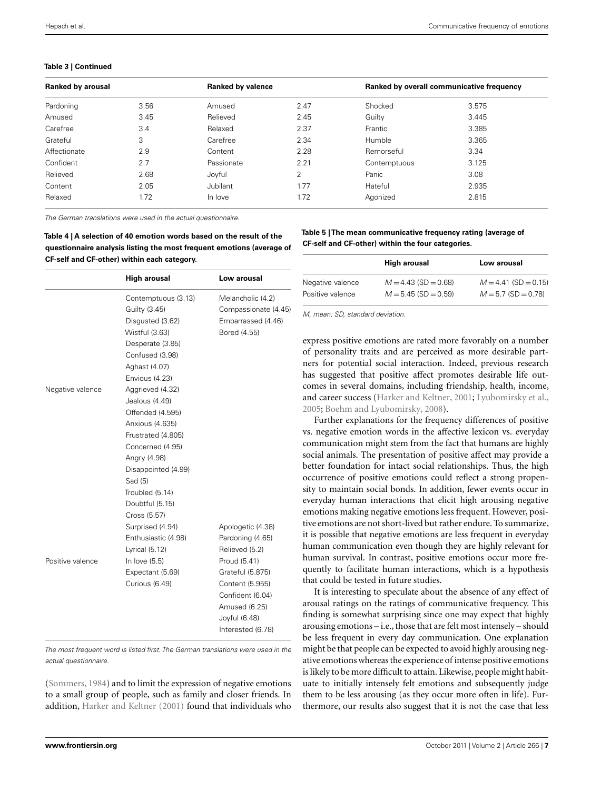#### <span id="page-6-0"></span>**Table 3 | Continued**

| <b>Ranked by arousal</b> |      |                 | <b>Ranked by valence</b> |              | Ranked by overall communicative frequency |  |
|--------------------------|------|-----------------|--------------------------|--------------|-------------------------------------------|--|
| Pardoning                | 3.56 | Amused          | 2.47                     | Shocked      | 3.575                                     |  |
| Amused                   | 3.45 | Relieved        | 2.45                     | Guilty       | 3.445                                     |  |
| Carefree                 | 3.4  | Relaxed         | 2.37                     | Frantic      | 3.385                                     |  |
| Grateful                 | 3    | Carefree        | 2.34                     | Humble       | 3.365                                     |  |
| Affectionate             | 2.9  | Content         | 2.28                     | Remorseful   | 3.34                                      |  |
| Confident                | 2.7  | Passionate      | 2.21                     | Contemptuous | 3.125                                     |  |
| Relieved                 | 2.68 | Joyful          | 2                        | Panic        | 3.08                                      |  |
| Content                  | 2.05 | <b>Jubilant</b> | 1.77                     | Hateful      | 2.935                                     |  |
| Relaxed                  | 1.72 | In love         | 1.72                     | Agonized     | 2.815                                     |  |

The German translations were used in the actual questionnaire.

| Table 4   A selection of 40 emotion words based on the result of the  |
|-----------------------------------------------------------------------|
| questionnaire analysis listing the most frequent emotions (average of |
| <b>CF-self and CF-other) within each category.</b>                    |

|                  | <b>High arousal</b> | Low arousal          |
|------------------|---------------------|----------------------|
|                  | Contemptuous (3.13) | Melancholic (4.2)    |
|                  | Guilty (3.45)       | Compassionate (4.45) |
|                  | Disgusted (3.62)    | Embarrassed (4.46)   |
|                  | Wistful (3.63)      | Bored (4.55)         |
|                  | Desperate (3.85)    |                      |
|                  | Confused (3.98)     |                      |
|                  | Aghast (4.07)       |                      |
|                  | Envious (4.23)      |                      |
| Negative valence | Aggrieved (4.32)    |                      |
|                  | Jealous (4.49)      |                      |
|                  | Offended (4.595)    |                      |
|                  | Anxious (4.635)     |                      |
|                  | Frustrated (4.805)  |                      |
|                  | Concerned (4.95)    |                      |
|                  | Angry (4.98)        |                      |
|                  | Disappointed (4.99) |                      |
|                  | Sad (5)             |                      |
|                  | Troubled (5.14)     |                      |
|                  | Doubtful (5.15)     |                      |
|                  | Cross (5.57)        |                      |
|                  | Surprised (4.94)    | Apologetic (4.38)    |
|                  | Enthusiastic (4.98) | Pardoning (4.65)     |
|                  | Lyrical $(5.12)$    | Relieved (5.2)       |
| Positive valence | In love $(5.5)$     | Proud (5.41)         |
|                  | Expectant (5.69)    | Grateful (5.875)     |
|                  | Curious (6.49)      | Content (5.955)      |
|                  |                     | Confident (6.04)     |
|                  |                     | Amused (6.25)        |
|                  |                     | Joyful (6.48)        |
|                  |                     | Interested (6.78)    |

The most frequent word is listed first. The German translations were used in the actual questionnaire.

[\(Sommers, 1984\)](#page-8-0) and to limit the expression of negative emotions to a small group of people, such as family and closer friends. In addition, [Harker and Keltner](#page-8-0) [\(2001\)](#page-8-0) found that individuals who

#### **Table 5 | The mean communicative frequency rating (average of CF-self and CF-other) within the four categories.**

| High arousal     |                        | Low arousal            |  |  |
|------------------|------------------------|------------------------|--|--|
| Negative valence | $M = 4.43$ (SD = 0.68) | $M = 4.41$ (SD = 0.15) |  |  |
| Positive valence | $M = 5.45$ (SD = 0.59) | $M = 5.7$ (SD = 0.78)  |  |  |

M, mean; SD, standard deviation.

express positive emotions are rated more favorably on a number of personality traits and are perceived as more desirable partners for potential social interaction. Indeed, previous research has suggested that positive affect promotes desirable life outcomes in several domains, including friendship, health, income, and career success [\(Harker and Keltner, 2001](#page-8-0); [Lyubomirsky et al.,](#page-8-0) [2005;](#page-8-0) [Boehm and Lyubomirsky, 2008\)](#page-8-0).

Further explanations for the frequency differences of positive vs. negative emotion words in the affective lexicon vs. everyday communication might stem from the fact that humans are highly social animals. The presentation of positive affect may provide a better foundation for intact social relationships. Thus, the high occurrence of positive emotions could reflect a strong propensity to maintain social bonds. In addition, fewer events occur in everyday human interactions that elicit high arousing negative emotions making negative emotions less frequent. However, positive emotions are not short-lived but rather endure. To summarize, it is possible that negative emotions are less frequent in everyday human communication even though they are highly relevant for human survival. In contrast, positive emotions occur more frequently to facilitate human interactions, which is a hypothesis that could be tested in future studies.

It is interesting to speculate about the absence of any effect of arousal ratings on the ratings of communicative frequency. This finding is somewhat surprising since one may expect that highly arousing emotions – i.e., those that are felt most intensely – should be less frequent in every day communication. One explanation might be that people can be expected to avoid highly arousing negative emotions whereas the experience of intense positive emotions is likely to be more difficult to attain. Likewise, people might habituate to initially intensely felt emotions and subsequently judge them to be less arousing (as they occur more often in life). Furthermore, our results also suggest that it is not the case that less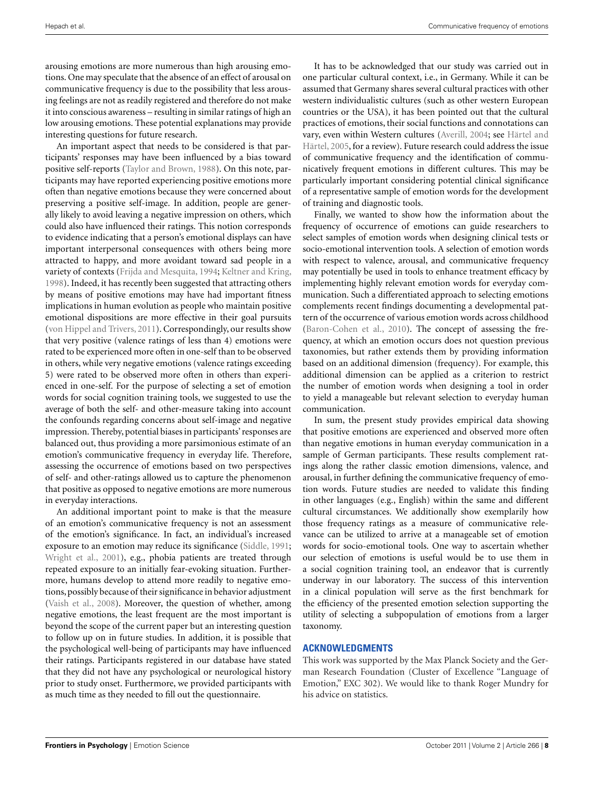arousing emotions are more numerous than high arousing emotions. One may speculate that the absence of an effect of arousal on communicative frequency is due to the possibility that less arousing feelings are not as readily registered and therefore do not make it into conscious awareness – resulting in similar ratings of high an low arousing emotions. These potential explanations may provide interesting questions for future research.

An important aspect that needs to be considered is that participants' responses may have been influenced by a bias toward positive self-reports [\(Taylor and Brown, 1988](#page-8-0)). On this note, participants may have reported experiencing positive emotions more often than negative emotions because they were concerned about preserving a positive self-image. In addition, people are generally likely to avoid leaving a negative impression on others, which could also have influenced their ratings. This notion corresponds to evidence indicating that a person's emotional displays can have important interpersonal consequences with others being more attracted to happy, and more avoidant toward sad people in a variety of contexts [\(Frijda and Mesquita, 1994;](#page-8-0) [Keltner and Kring,](#page-8-0) [1998\)](#page-8-0). Indeed, it has recently been suggested that attracting others by means of positive emotions may have had important fitness implications in human evolution as people who maintain positive emotional dispositions are more effective in their goal pursuits [\(von Hippel and Trivers](#page-8-0), [2011](#page-8-0)). Correspondingly, our results show that very positive (valence ratings of less than 4) emotions were rated to be experienced more often in one-self than to be observed in others, while very negative emotions (valence ratings exceeding 5) were rated to be observed more often in others than experienced in one-self. For the purpose of selecting a set of emotion words for social cognition training tools, we suggested to use the average of both the self- and other-measure taking into account the confounds regarding concerns about self-image and negative impression. Thereby, potential biases in participants' responses are balanced out, thus providing a more parsimonious estimate of an emotion's communicative frequency in everyday life. Therefore, assessing the occurrence of emotions based on two perspectives of self- and other-ratings allowed us to capture the phenomenon that positive as opposed to negative emotions are more numerous in everyday interactions.

An additional important point to make is that the measure of an emotion's communicative frequency is not an assessment of the emotion's significance. In fact, an individual's increased exposure to an emotion may reduce its significance [\(Siddle](#page-8-0), [1991;](#page-8-0) [Wright et al.](#page-8-0), [2001\)](#page-8-0), e.g., phobia patients are treated through repeated exposure to an initially fear-evoking situation. Furthermore, humans develop to attend more readily to negative emotions, possibly because of their significance in behavior adjustment [\(Vaish et al., 2008](#page-8-0)). Moreover, the question of whether, among negative emotions, the least frequent are the most important is beyond the scope of the current paper but an interesting question to follow up on in future studies. In addition, it is possible that the psychological well-being of participants may have influenced their ratings. Participants registered in our database have stated that they did not have any psychological or neurological history prior to study onset. Furthermore, we provided participants with as much time as they needed to fill out the questionnaire.

It has to be acknowledged that our study was carried out in one particular cultural context, i.e., in Germany. While it can be assumed that Germany shares several cultural practices with other western individualistic cultures (such as other western European countries or the USA), it has been pointed out that the cultural practices of emotions, their social functions and connotations can vary, [even within Western cultures \(Averill, 2004; see](#page-8-0) Härtel and Härtel, [2005,](#page-8-0) for a review). Future research could address the issue of communicative frequency and the identification of communicatively frequent emotions in different cultures. This may be particularly important considering potential clinical significance of a representative sample of emotion words for the development of training and diagnostic tools.

Finally, we wanted to show how the information about the frequency of occurrence of emotions can guide researchers to select samples of emotion words when designing clinical tests or socio-emotional intervention tools. A selection of emotion words with respect to valence, arousal, and communicative frequency may potentially be used in tools to enhance treatment efficacy by implementing highly relevant emotion words for everyday communication. Such a differentiated approach to selecting emotions complements recent findings documenting a developmental pattern of the occurrence of various emotion words across childhood [\(Baron-Cohen et al., 2010](#page-8-0)). The concept of assessing the frequency, at which an emotion occurs does not question previous taxonomies, but rather extends them by providing information based on an additional dimension (frequency). For example, this additional dimension can be applied as a criterion to restrict the number of emotion words when designing a tool in order to yield a manageable but relevant selection to everyday human communication.

In sum, the present study provides empirical data showing that positive emotions are experienced and observed more often than negative emotions in human everyday communication in a sample of German participants. These results complement ratings along the rather classic emotion dimensions, valence, and arousal, in further defining the communicative frequency of emotion words. Future studies are needed to validate this finding in other languages (e.g., English) within the same and different cultural circumstances. We additionally show exemplarily how those frequency ratings as a measure of communicative relevance can be utilized to arrive at a manageable set of emotion words for socio-emotional tools. One way to ascertain whether our selection of emotions is useful would be to use them in a social cognition training tool, an endeavor that is currently underway in our laboratory. The success of this intervention in a clinical population will serve as the first benchmark for the efficiency of the presented emotion selection supporting the utility of selecting a subpopulation of emotions from a larger taxonomy.

#### **ACKNOWLEDGMENTS**

This work was supported by the Max Planck Society and the German Research Foundation (Cluster of Excellence "Language of Emotion," EXC 302). We would like to thank Roger Mundry for his advice on statistics.